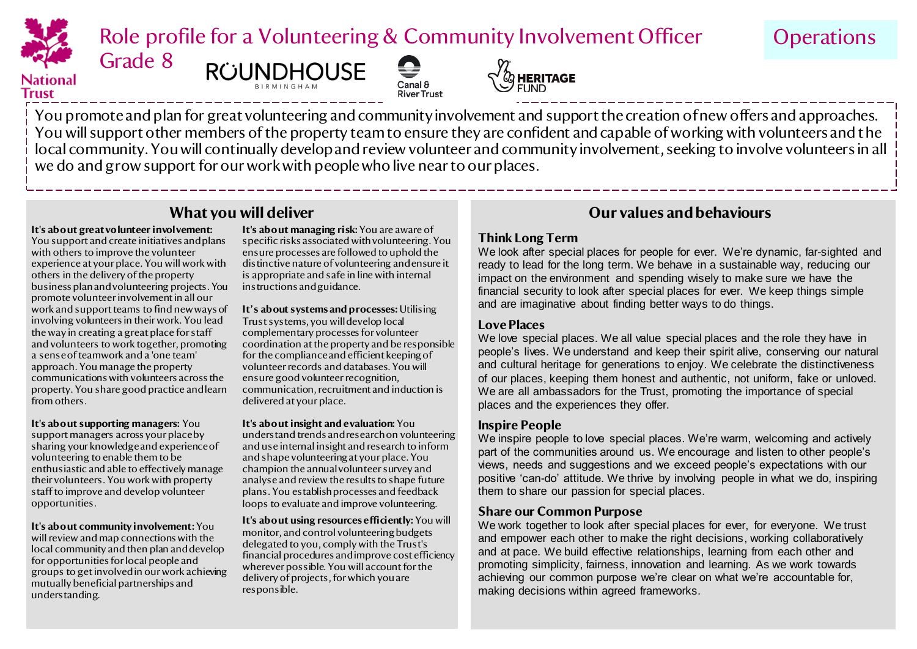

Role profile for a Volunteering & Community Involvement Officer

**Operations** 

# Trust





You promote and plan for great volunteering and community involvement and support the creation of new offers and approaches. You will support other members of the property team to ensure they are confident and capable of working with volunteers and the local community. You will continually develop and review volunteer and community involvement, seeking to involve volunteers in all we do and grow support for our work with people who live near to our places.

#### **It's about great volunteer involvement:**

Grade 8

You support and create initiatives and plans with others to improve the volunteer experience at your place. You will work with others in the delivery of the property business plan and volunteering projects. You promote volunteer involvement in all our work and support teams to find new ways of involving volunteers in their work. You lead the way in creating a great place for staff and volunteers to work together, promoting a sense of teamwork and a 'one team' approach. You manage the property communications with volunteers across the property. You share good practice and learn from others.

**It's about supporting managers:** You support managers across your place by sharing your knowledge and experience of volunteering to enable them to be enthusiastic and able to effectively manage their volunteers. You work with property staff to improve and develop volunteer opportunities.

**It's about community involvement:** You will review and map connections with the local community and then plan and develop for opportunities for local people and groups to get involved in our work achieving mutually beneficial partnerships and understanding.

**It's about managing risk:** You are aware of specific risks associated with volunteering. You ensure processes are followed to uphold the distinctive nature of volunteering and ensure it is appropriate and safe in line with internal instructions and guidance.

**It's about systems and processes:** Utilising Trust systems, you will develop local complementary processes for volunteer coordination at the property and be responsible for the compliance and efficient keeping of volunteer records and databases. You will ensure good volunteer recognition, communication, recruitment and induction is delivered at your place.

**It's about insight and evaluation:** You understand trends and research on volunteering and use internal insight and research to inform and shape volunteering at your place. You champion the annual volunteer survey and analyse and review the results to shape future plans. You establish processes and feedback loops to evaluate and improve volunteering.

**It's about using resources efficiently:** You will monitor, and control volunteering budgets delegated to you, comply with the Trust's financial procedures and improve cost efficiency wherever possible. You will account for the delivery of projects, for which you are responsible.

### **What you will deliver Our values and behaviours**

#### **Think Long Term**

We look after special places for people for ever. We're dynamic, far-sighted and ready to lead for the long term. We behave in a sustainable way, reducing our impact on the environment and spending wisely to make sure we have the financial security to look after special places for ever. We keep things simple and are imaginative about finding better ways to do things.

#### **Love Places**

We love special places. We all value special places and the role they have in people's lives. We understand and keep their spirit alive, conserving our natural and cultural heritage for generations to enjoy. We celebrate the distinctiveness of our places, keeping them honest and authentic, not uniform, fake or unloved. We are all ambassadors for the Trust, promoting the importance of special places and the experiences they offer.

### **Inspire People**

We inspire people to love special places. We're warm, welcoming and actively part of the communities around us. We encourage and listen to other people's views, needs and suggestions and we exceed people's expectations with our positive 'can-do' attitude. We thrive by involving people in what we do, inspiring them to share our passion for special places.

#### **Share our Common Purpose**

We work together to look after special places for ever, for everyone. We trust and empower each other to make the right decisions, working collaboratively and at pace. We build effective relationships, learning from each other and promoting simplicity, fairness, innovation and learning. As we work towards achieving our common purpose we're clear on what we're accountable for, making decisions within agreed frameworks.